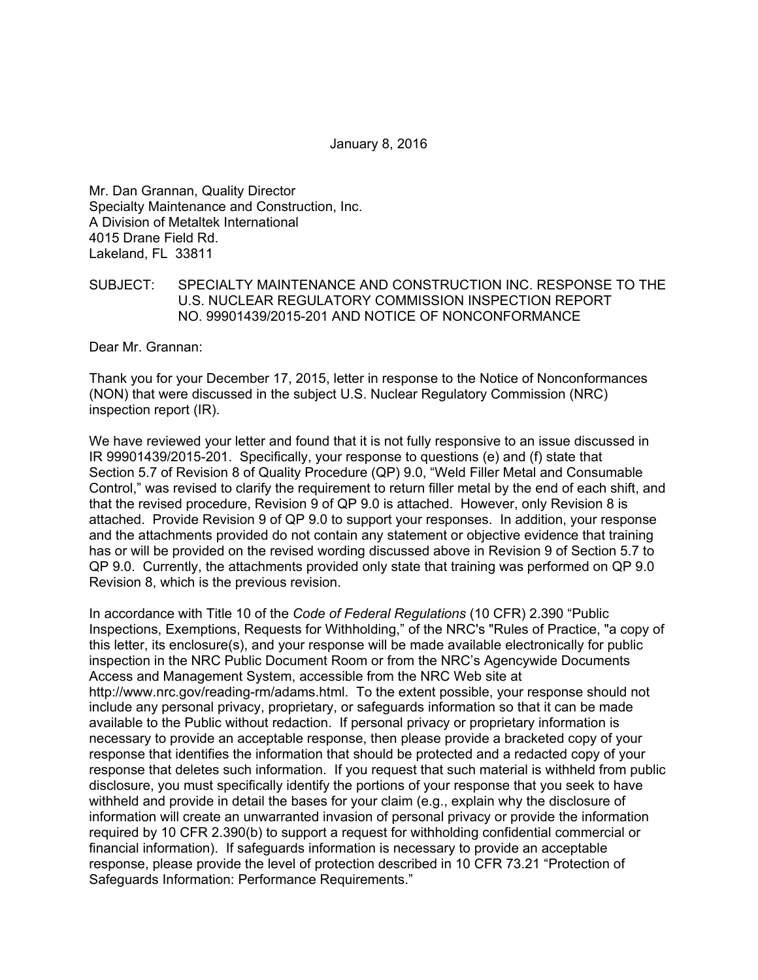January 8, 2016

Mr. Dan Grannan, Quality Director Specialty Maintenance and Construction, Inc. A Division of Metaltek International 4015 Drane Field Rd. Lakeland, FL 33811

## SUBJECT: SPECIALTY MAINTENANCE AND CONSTRUCTION INC. RESPONSE TO THE U.S. NUCLEAR REGULATORY COMMISSION INSPECTION REPORT NO. 99901439/2015-201 AND NOTICE OF NONCONFORMANCE

Dear Mr. Grannan:

Thank you for your December 17, 2015, letter in response to the Notice of Nonconformances (NON) that were discussed in the subject U.S. Nuclear Regulatory Commission (NRC) inspection report (IR).

We have reviewed your letter and found that it is not fully responsive to an issue discussed in IR 99901439/2015-201. Specifically, your response to questions (e) and (f) state that Section 5.7 of Revision 8 of Quality Procedure (QP) 9.0, "Weld Filler Metal and Consumable Control," was revised to clarify the requirement to return filler metal by the end of each shift, and that the revised procedure, Revision 9 of QP 9.0 is attached. However, only Revision 8 is attached. Provide Revision 9 of QP 9.0 to support your responses. In addition, your response and the attachments provided do not contain any statement or objective evidence that training has or will be provided on the revised wording discussed above in Revision 9 of Section 5.7 to QP 9.0. Currently, the attachments provided only state that training was performed on QP 9.0 Revision 8, which is the previous revision.

In accordance with Title 10 of the *Code of Federal Regulations* (10 CFR) 2.390 "Public Inspections, Exemptions, Requests for Withholding," of the NRC's "Rules of Practice, "a copy of this letter, its enclosure(s), and your response will be made available electronically for public inspection in the NRC Public Document Room or from the NRC's Agencywide Documents Access and Management System, accessible from the NRC Web site at http://www.nrc.gov/reading-rm/adams.html. To the extent possible, your response should not include any personal privacy, proprietary, or safeguards information so that it can be made available to the Public without redaction. If personal privacy or proprietary information is necessary to provide an acceptable response, then please provide a bracketed copy of your response that identifies the information that should be protected and a redacted copy of your response that deletes such information. If you request that such material is withheld from public disclosure, you must specifically identify the portions of your response that you seek to have withheld and provide in detail the bases for your claim (e.g., explain why the disclosure of information will create an unwarranted invasion of personal privacy or provide the information required by 10 CFR 2.390(b) to support a request for withholding confidential commercial or financial information). If safeguards information is necessary to provide an acceptable response, please provide the level of protection described in 10 CFR 73.21 "Protection of Safeguards Information: Performance Requirements."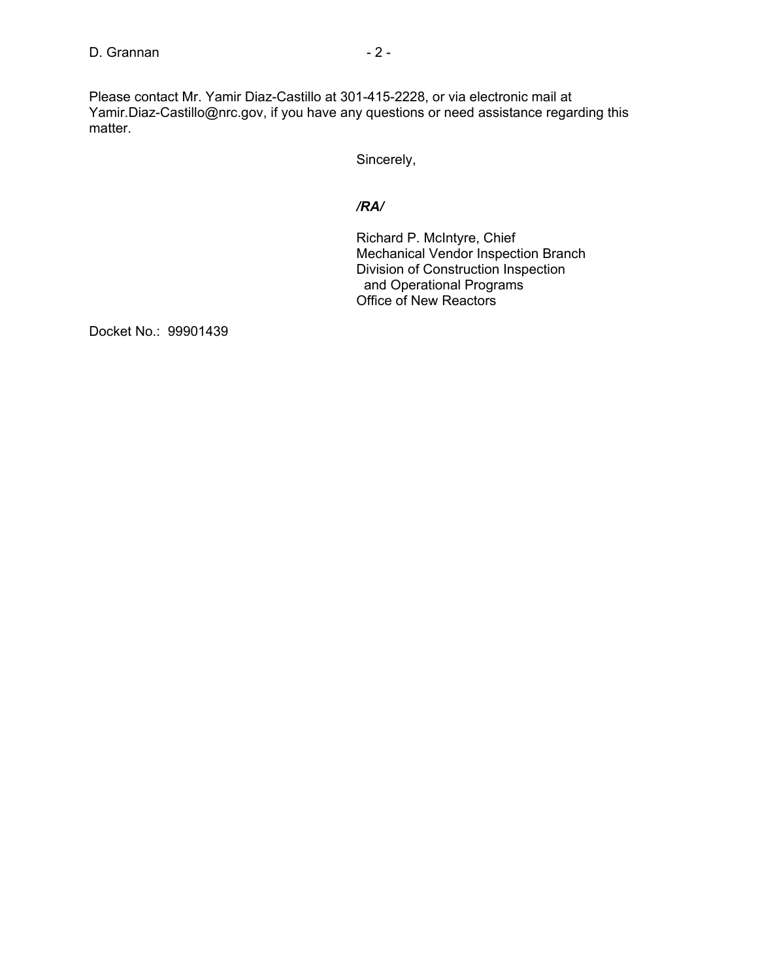Please contact Mr. Yamir Diaz-Castillo at 301-415-2228, or via electronic mail at Yamir.Diaz-Castillo@nrc.gov, if you have any questions or need assistance regarding this matter.

Sincerely,

## */RA/*

Richard P. McIntyre, Chief Mechanical Vendor Inspection Branch Division of Construction Inspection and Operational Programs Office of New Reactors

Docket No.: 99901439